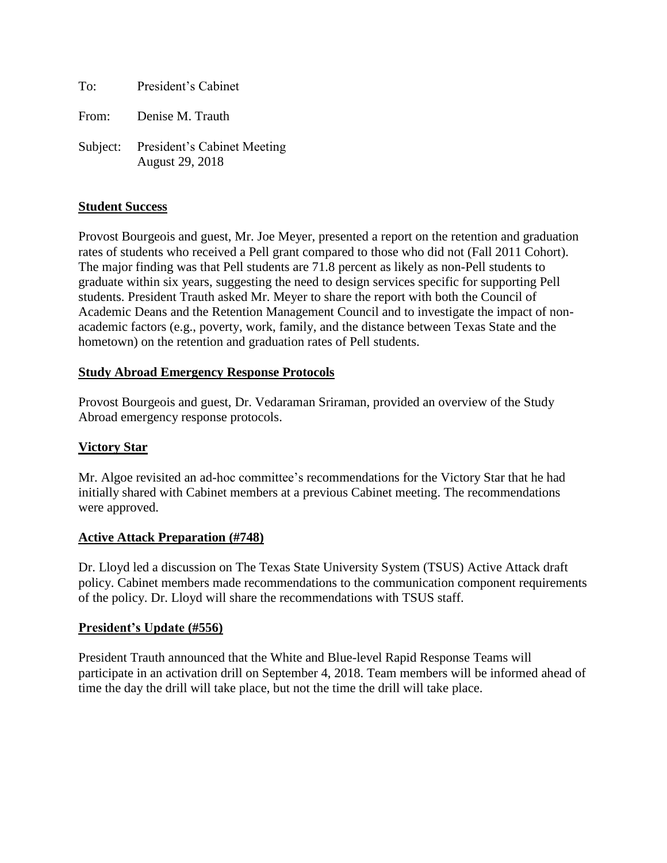To: President's Cabinet

From: Denise M. Trauth

Subject: President's Cabinet Meeting August 29, 2018

### **Student Success**

Provost Bourgeois and guest, Mr. Joe Meyer, presented a report on the retention and graduation rates of students who received a Pell grant compared to those who did not (Fall 2011 Cohort). The major finding was that Pell students are 71.8 percent as likely as non-Pell students to graduate within six years, suggesting the need to design services specific for supporting Pell students. President Trauth asked Mr. Meyer to share the report with both the Council of Academic Deans and the Retention Management Council and to investigate the impact of nonacademic factors (e.g., poverty, work, family, and the distance between Texas State and the hometown) on the retention and graduation rates of Pell students.

### **Study Abroad Emergency Response Protocols**

Provost Bourgeois and guest, Dr. Vedaraman Sriraman, provided an overview of the Study Abroad emergency response protocols.

### **Victory Star**

Mr. Algoe revisited an ad-hoc committee's recommendations for the Victory Star that he had initially shared with Cabinet members at a previous Cabinet meeting. The recommendations were approved.

### **Active Attack Preparation (#748)**

Dr. Lloyd led a discussion on The Texas State University System (TSUS) Active Attack draft policy. Cabinet members made recommendations to the communication component requirements of the policy. Dr. Lloyd will share the recommendations with TSUS staff.

### **President's Update (#556)**

President Trauth announced that the White and Blue-level Rapid Response Teams will participate in an activation drill on September 4, 2018. Team members will be informed ahead of time the day the drill will take place, but not the time the drill will take place.